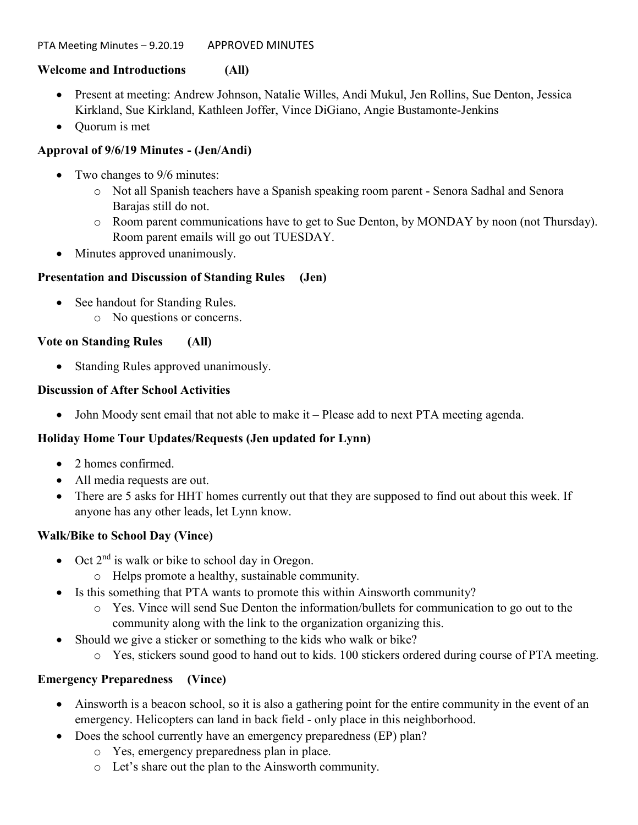### PTA Meeting Minutes - 9.20.19 APPROVED MINUTES

## Welcome and Introductions (All)

- Present at meeting: Andrew Johnson, Natalie Willes, Andi Mukul, Jen Rollins, Sue Denton, Jessica Kirkland, Sue Kirkland, Kathleen Joffer, Vince DiGiano, Angie Bustamonte-Jenkins
- Ouorum is met

## Approval of 9/6/19 Minutes - (Jen/Andi)

- Two changes to 9/6 minutes:
	- o Not all Spanish teachers have a Spanish speaking room parent Senora Sadhal and Senora Barajas still do not.
	- o Room parent communications have to get to Sue Denton, by MONDAY by noon (not Thursday). Room parent emails will go out TUESDAY.
- Minutes approved unanimously.

## Presentation and Discussion of Standing Rules (Jen)

- See handout for Standing Rules.
	- o No questions or concerns.

## Vote on Standing Rules (All)

Standing Rules approved unanimously.

## Discussion of After School Activities

John Moody sent email that not able to make it – Please add to next PTA meeting agenda.

# Holiday Home Tour Updates/Requests (Jen updated for Lynn)

- 2 homes confirmed.
- All media requests are out.
- There are 5 asks for HHT homes currently out that they are supposed to find out about this week. If anyone has any other leads, let Lynn know.

# Walk/Bike to School Day (Vince)

- $\bullet$  Oct  $2<sup>nd</sup>$  is walk or bike to school day in Oregon.
	- o Helps promote a healthy, sustainable community.
- Is this something that PTA wants to promote this within Ainsworth community?
	- o Yes. Vince will send Sue Denton the information/bullets for communication to go out to the community along with the link to the organization organizing this.
- Should we give a sticker or something to the kids who walk or bike?
	- o Yes, stickers sound good to hand out to kids. 100 stickers ordered during course of PTA meeting.

## Emergency Preparedness (Vince)

- Ainsworth is a beacon school, so it is also a gathering point for the entire community in the event of an emergency. Helicopters can land in back field - only place in this neighborhood.
- Does the school currently have an emergency preparedness (EP) plan?
	- o Yes, emergency preparedness plan in place.
	- o Let's share out the plan to the Ainsworth community.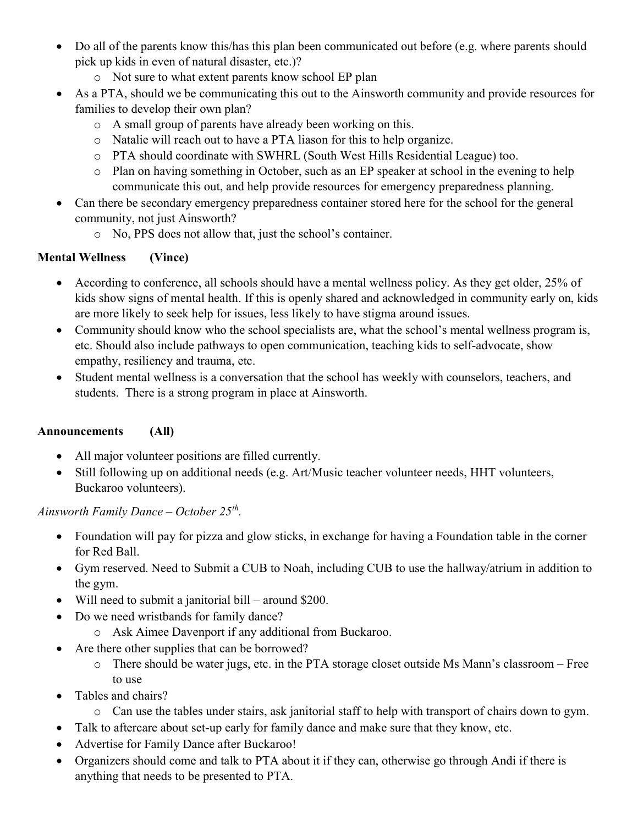- Do all of the parents know this/has this plan been communicated out before (e.g. where parents should pick up kids in even of natural disaster, etc.)?
	- o Not sure to what extent parents know school EP plan
- As a PTA, should we be communicating this out to the Ainsworth community and provide resources for families to develop their own plan?
	- o A small group of parents have already been working on this.
	- o Natalie will reach out to have a PTA liason for this to help organize.
	- o PTA should coordinate with SWHRL (South West Hills Residential League) too.
	- o Plan on having something in October, such as an EP speaker at school in the evening to help communicate this out, and help provide resources for emergency preparedness planning.
- Can there be secondary emergency preparedness container stored here for the school for the general community, not just Ainsworth?
	- o No, PPS does not allow that, just the school's container.

# Mental Wellness (Vince)

- According to conference, all schools should have a mental wellness policy. As they get older, 25% of kids show signs of mental health. If this is openly shared and acknowledged in community early on, kids are more likely to seek help for issues, less likely to have stigma around issues.
- Community should know who the school specialists are, what the school's mental wellness program is, etc. Should also include pathways to open communication, teaching kids to self-advocate, show empathy, resiliency and trauma, etc.
- Student mental wellness is a conversation that the school has weekly with counselors, teachers, and students. There is a strong program in place at Ainsworth.

# Announcements (All)

- All major volunteer positions are filled currently.
- Still following up on additional needs (e.g. Art/Music teacher volunteer needs, HHT volunteers, Buckaroo volunteers).

# Ainsworth Family Dance – October 25<sup>th</sup>.

- Foundation will pay for pizza and glow sticks, in exchange for having a Foundation table in the corner for Red Ball.
- Gym reserved. Need to Submit a CUB to Noah, including CUB to use the hallway/atrium in addition to the gym.
- Will need to submit a janitorial bill around \$200.
- Do we need wristbands for family dance?
	- o Ask Aimee Davenport if any additional from Buckaroo.
- Are there other supplies that can be borrowed?
	- o There should be water jugs, etc. in the PTA storage closet outside Ms Mann's classroom Free to use
- Tables and chairs?
	- o Can use the tables under stairs, ask janitorial staff to help with transport of chairs down to gym.
- Talk to aftercare about set-up early for family dance and make sure that they know, etc.
- Advertise for Family Dance after Buckaroo!
- Organizers should come and talk to PTA about it if they can, otherwise go through Andi if there is anything that needs to be presented to PTA.